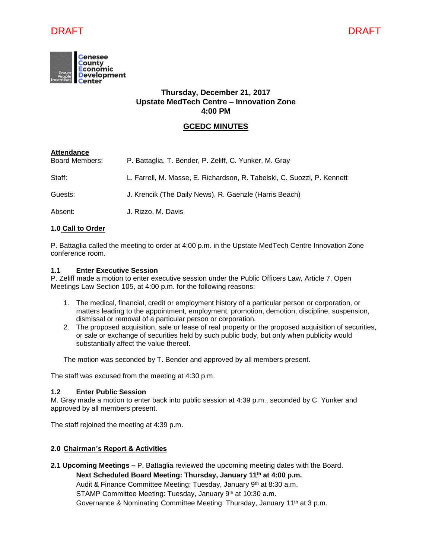



# **Thursday, December 21, 2017 Upstate MedTech Centre – Innovation Zone 4:00 PM**

# **GCEDC MINUTES**

| <b>Attendance</b>     |                                                                         |
|-----------------------|-------------------------------------------------------------------------|
| <b>Board Members:</b> | P. Battaglia, T. Bender, P. Zeliff, C. Yunker, M. Gray                  |
| Staff:                | L. Farrell, M. Masse, E. Richardson, R. Tabelski, C. Suozzi, P. Kennett |
| Guests:               | J. Krencik (The Daily News), R. Gaenzle (Harris Beach)                  |
| Absent:               | J. Rizzo, M. Davis                                                      |

## **1.0 Call to Order**

P. Battaglia called the meeting to order at 4:00 p.m. in the Upstate MedTech Centre Innovation Zone conference room.

## **1.1 Enter Executive Session**

P. Zeliff made a motion to enter executive session under the Public Officers Law, Article 7, Open Meetings Law Section 105, at 4:00 p.m. for the following reasons:

- 1. The medical, financial, credit or employment history of a particular person or corporation, or matters leading to the appointment, employment, promotion, demotion, discipline, suspension, dismissal or removal of a particular person or corporation.
- 2. The proposed acquisition, sale or lease of real property or the proposed acquisition of securities, or sale or exchange of securities held by such public body, but only when publicity would substantially affect the value thereof.

The motion was seconded by T. Bender and approved by all members present.

The staff was excused from the meeting at 4:30 p.m.

## **1.2 Enter Public Session**

M. Gray made a motion to enter back into public session at 4:39 p.m., seconded by C. Yunker and approved by all members present.

The staff rejoined the meeting at 4:39 p.m.

## **2.0 Chairman's Report & Activities**

**2.1 Upcoming Meetings –** P. Battaglia reviewed the upcoming meeting dates with the Board. **Next Scheduled Board Meeting: Thursday, January 11th at 4:00 p.m.** Audit & Finance Committee Meeting: Tuesday, January 9<sup>th</sup> at 8:30 a.m. STAMP Committee Meeting: Tuesday, January 9<sup>th</sup> at 10:30 a.m. Governance & Nominating Committee Meeting: Thursday, January 11<sup>th</sup> at 3 p.m.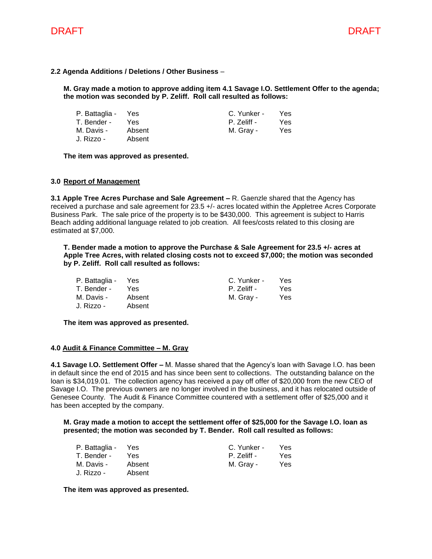

## **2.2 Agenda Additions / Deletions / Other Business** –

**M. Gray made a motion to approve adding item 4.1 Savage I.O. Settlement Offer to the agenda; the motion was seconded by P. Zeliff. Roll call resulted as follows:**

| P. Battaglia - | Yes    | C. Yunker - | Yes |
|----------------|--------|-------------|-----|
| T. Bender -    | Yes.   | P. Zeliff - | Yes |
| M. Davis -     | Absent | M. Gray -   | Yes |
| J. Rizzo -     | Absent |             |     |

**The item was approved as presented.**

### **3.0 Report of Management**

**3.1 Apple Tree Acres Purchase and Sale Agreement –** R. Gaenzle shared that the Agency has received a purchase and sale agreement for 23.5 +/- acres located within the Appletree Acres Corporate Business Park. The sale price of the property is to be \$430,000. This agreement is subject to Harris Beach adding additional language related to job creation. All fees/costs related to this closing are estimated at \$7,000.

**T. Bender made a motion to approve the Purchase & Sale Agreement for 23.5 +/- acres at Apple Tree Acres, with related closing costs not to exceed \$7,000; the motion was seconded by P. Zeliff. Roll call resulted as follows:**

| P. Battaglia - | Yes    | C. Yunker - | Yes |
|----------------|--------|-------------|-----|
| T. Bender -    | Yes.   | P. Zeliff - | Yes |
| M. Davis -     | Absent | M. Gray -   | Yes |
| J. Rizzo -     | Absent |             |     |

**The item was approved as presented.**

### **4.0 Audit & Finance Committee – M. Gray**

**4.1 Savage I.O. Settlement Offer –** M. Masse shared that the Agency's loan with Savage I.O. has been in default since the end of 2015 and has since been sent to collections. The outstanding balance on the loan is \$34,019.01. The collection agency has received a pay off offer of \$20,000 from the new CEO of Savage I.O. The previous owners are no longer involved in the business, and it has relocated outside of Genesee County. The Audit & Finance Committee countered with a settlement offer of \$25,000 and it has been accepted by the company.

**M. Gray made a motion to accept the settlement offer of \$25,000 for the Savage I.O. loan as presented; the motion was seconded by T. Bender. Roll call resulted as follows:**

| P. Battaglia - | Yes    | C. Yunker - | <b>Yes</b> |
|----------------|--------|-------------|------------|
| T. Bender -    | Yes.   | P. Zeliff - | Yes        |
| M. Davis -     | Absent | M. Gray -   | Yes        |
| J. Rizzo -     | Absent |             |            |

**The item was approved as presented.**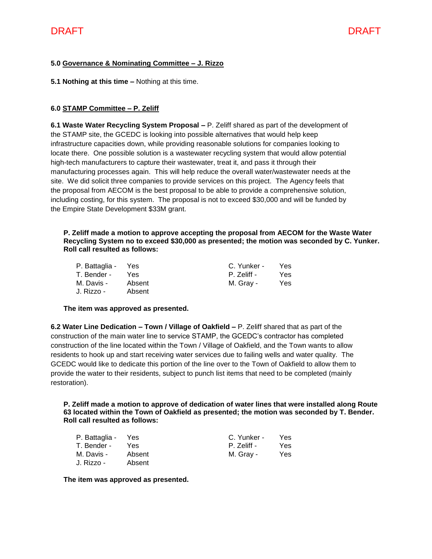# **5.0 Governance & Nominating Committee – J. Rizzo**

**5.1 Nothing at this time –** Nothing at this time.

# **6.0 STAMP Committee – P. Zeliff**

**6.1 Waste Water Recycling System Proposal –** P. Zeliff shared as part of the development of the STAMP site, the GCEDC is looking into possible alternatives that would help keep infrastructure capacities down, while providing reasonable solutions for companies looking to locate there. One possible solution is a wastewater recycling system that would allow potential high-tech manufacturers to capture their wastewater, treat it, and pass it through their manufacturing processes again. This will help reduce the overall water/wastewater needs at the site. We did solicit three companies to provide services on this project. The Agency feels that the proposal from AECOM is the best proposal to be able to provide a comprehensive solution, including costing, for this system. The proposal is not to exceed \$30,000 and will be funded by the Empire State Development \$33M grant.

**P. Zeliff made a motion to approve accepting the proposal from AECOM for the Waste Water Recycling System no to exceed \$30,000 as presented; the motion was seconded by C. Yunker. Roll call resulted as follows:**

| P. Battaglia - | Yes    | C. Yunker - | Yes |
|----------------|--------|-------------|-----|
| T. Bender -    | Yes.   | P. Zeliff - | Yes |
| M. Davis -     | Absent | M. Gray -   | Yes |
| J. Rizzo -     | Absent |             |     |

## **The item was approved as presented.**

**6.2 Water Line Dedication – Town / Village of Oakfield –** P. Zeliff shared that as part of the construction of the main water line to service STAMP, the GCEDC's contractor has completed construction of the line located within the Town / Village of Oakfield, and the Town wants to allow residents to hook up and start receiving water services due to failing wells and water quality. The GCEDC would like to dedicate this portion of the line over to the Town of Oakfield to allow them to provide the water to their residents, subject to punch list items that need to be completed (mainly restoration).

**P. Zeliff made a motion to approve of dedication of water lines that were installed along Route 63 located within the Town of Oakfield as presented; the motion was seconded by T. Bender. Roll call resulted as follows:**

| P. Battaglia - | Yes    | C. Yunker - | Yes. |
|----------------|--------|-------------|------|
| T. Bender -    | Yes.   | P. Zeliff - | Yes. |
| M. Davis -     | Absent | M. Gray -   | Yes  |
| J. Rizzo -     | Absent |             |      |

**The item was approved as presented.**